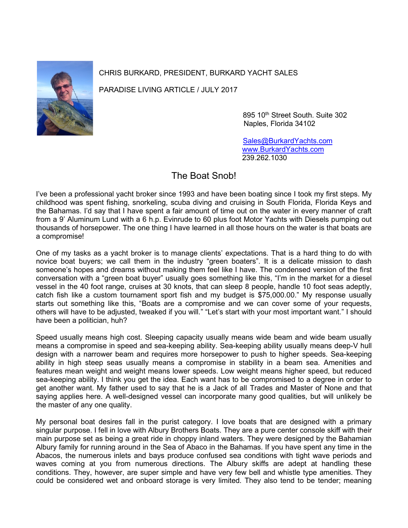

CHRIS BURKARD, PRESIDENT, BURKARD YACHT SALES

PARADISE LIVING ARTICLE / JULY 2017

895 10<sup>th</sup> Street South. Suite 302 Naples, Florida 34102

 [Sales@BurkardYachts.com](mailto:Sales@BurkardYachts.com) [www.BurkardYachts.com](http://www.burkardyachts.com/) 239.262.1030

## The Boat Snob!

I've been a professional yacht broker since 1993 and have been boating since I took my first steps. My childhood was spent fishing, snorkeling, scuba diving and cruising in South Florida, Florida Keys and the Bahamas. I'd say that I have spent a fair amount of time out on the water in every manner of craft from a 9' Aluminum Lund with a 6 h.p. Evinrude to 60 plus foot Motor Yachts with Diesels pumping out thousands of horsepower. The one thing I have learned in all those hours on the water is that boats are a compromise!

One of my tasks as a yacht broker is to manage clients' expectations. That is a hard thing to do with novice boat buyers; we call them in the industry "green boaters". It is a delicate mission to dash someone's hopes and dreams without making them feel like I have. The condensed version of the first conversation with a "green boat buyer" usually goes something like this, "I'm in the market for a diesel vessel in the 40 foot range, cruises at 30 knots, that can sleep 8 people, handle 10 foot seas adeptly, catch fish like a custom tournament sport fish and my budget is \$75,000.00." My response usually starts out something like this, "Boats are a compromise and we can cover some of your requests, others will have to be adjusted, tweaked if you will." "Let's start with your most important want." I should have been a politician, huh?

Speed usually means high cost. Sleeping capacity usually means wide beam and wide beam usually means a compromise in speed and sea-keeping ability. Sea-keeping ability usually means deep-V hull design with a narrower beam and requires more horsepower to push to higher speeds. Sea-keeping ability in high steep seas usually means a compromise in stability in a beam sea. Amenities and features mean weight and weight means lower speeds. Low weight means higher speed, but reduced sea-keeping ability. I think you get the idea. Each want has to be compromised to a degree in order to get another want. My father used to say that he is a Jack of all Trades and Master of None and that saying applies here. A well-designed vessel can incorporate many good qualities, but will unlikely be the master of any one quality.

My personal boat desires fall in the purist category. I love boats that are designed with a primary singular purpose. I fell in love with Albury Brothers Boats. They are a pure center console skiff with their main purpose set as being a great ride in choppy inland waters. They were designed by the Bahamian Albury family for running around in the Sea of Abaco in the Bahamas. If you have spent any time in the Abacos, the numerous inlets and bays produce confused sea conditions with tight wave periods and waves coming at you from numerous directions. The Albury skiffs are adept at handling these conditions. They, however, are super simple and have very few bell and whistle type amenities. They could be considered wet and onboard storage is very limited. They also tend to be tender; meaning